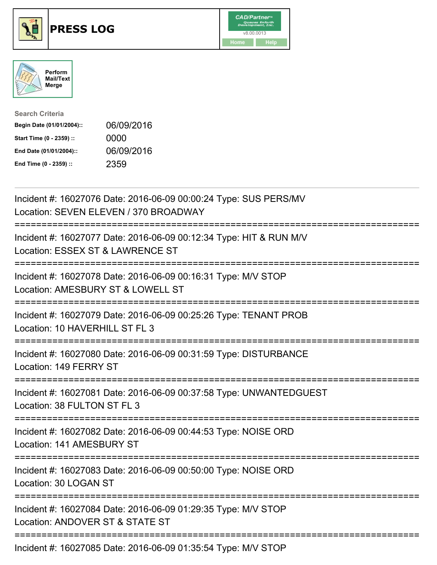





| <b>Search Criteria</b>    |            |
|---------------------------|------------|
| Begin Date (01/01/2004):: | 06/09/2016 |
| Start Time (0 - 2359) ::  | 0000       |
| End Date (01/01/2004)::   | 06/09/2016 |
| End Time (0 - 2359) ::    | 2359       |

| Incident #: 16027076 Date: 2016-06-09 00:00:24 Type: SUS PERS/MV<br>Location: SEVEN ELEVEN / 370 BROADWAY                                   |
|---------------------------------------------------------------------------------------------------------------------------------------------|
| Incident #: 16027077 Date: 2016-06-09 00:12:34 Type: HIT & RUN M/V<br>Location: ESSEX ST & LAWRENCE ST                                      |
| Incident #: 16027078 Date: 2016-06-09 00:16:31 Type: M/V STOP<br>Location: AMESBURY ST & LOWELL ST                                          |
| Incident #: 16027079 Date: 2016-06-09 00:25:26 Type: TENANT PROB<br>Location: 10 HAVERHILL ST FL 3                                          |
| Incident #: 16027080 Date: 2016-06-09 00:31:59 Type: DISTURBANCE<br>Location: 149 FERRY ST                                                  |
| Incident #: 16027081 Date: 2016-06-09 00:37:58 Type: UNWANTEDGUEST<br>Location: 38 FULTON ST FL 3<br>====================================== |
| Incident #: 16027082 Date: 2016-06-09 00:44:53 Type: NOISE ORD<br>Location: 141 AMESBURY ST<br>====================================         |
| Incident #: 16027083 Date: 2016-06-09 00:50:00 Type: NOISE ORD<br>Location: 30 LOGAN ST                                                     |
| Incident #: 16027084 Date: 2016-06-09 01:29:35 Type: M/V STOP<br>Location: ANDOVER ST & STATE ST                                            |
| Incident #: 16027085 Date: 2016-06-09 01:35:54 Type: M/V STOP                                                                               |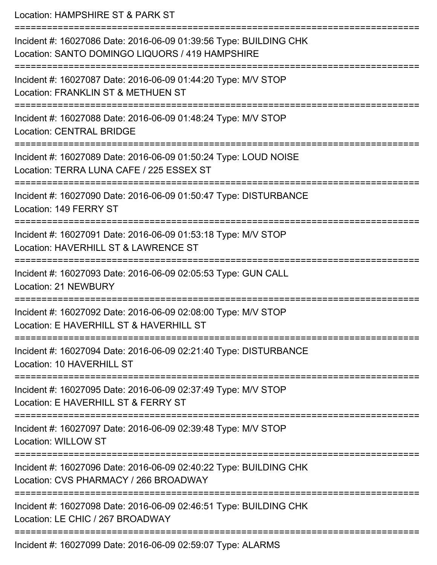Location: HAMPSHIRE ST & PARK ST =========================================================================== Incident #: 16027086 Date: 2016-06-09 01:39:56 Type: BUILDING CHK Location: SANTO DOMINGO LIQUORS / 419 HAMPSHIRE =========================================================================== Incident #: 16027087 Date: 2016-06-09 01:44:20 Type: M/V STOP Location: FRANKLIN ST & METHUEN ST =========================================================================== Incident #: 16027088 Date: 2016-06-09 01:48:24 Type: M/V STOP Location: CENTRAL BRIDGE =========================================================================== Incident #: 16027089 Date: 2016-06-09 01:50:24 Type: LOUD NOISE Location: TERRA LUNA CAFE / 225 ESSEX ST =========================================================================== Incident #: 16027090 Date: 2016-06-09 01:50:47 Type: DISTURBANCE Location: 149 FERRY ST =========================================================================== Incident #: 16027091 Date: 2016-06-09 01:53:18 Type: M/V STOP Location: HAVERHILL ST & LAWRENCE ST =========================================================================== Incident #: 16027093 Date: 2016-06-09 02:05:53 Type: GUN CALL Location: 21 NEWBURY =========================================================================== Incident #: 16027092 Date: 2016-06-09 02:08:00 Type: M/V STOP Location: E HAVERHILL ST & HAVERHILL ST =========================================================================== Incident #: 16027094 Date: 2016-06-09 02:21:40 Type: DISTURBANCE Location: 10 HAVERHILL ST =========================================================================== Incident #: 16027095 Date: 2016-06-09 02:37:49 Type: M/V STOP Location: E HAVERHILL ST & FERRY ST =========================================================================== Incident #: 16027097 Date: 2016-06-09 02:39:48 Type: M/V STOP Location: WILLOW ST =========================================================================== Incident #: 16027096 Date: 2016-06-09 02:40:22 Type: BUILDING CHK Location: CVS PHARMACY / 266 BROADWAY =========================================================================== Incident #: 16027098 Date: 2016-06-09 02:46:51 Type: BUILDING CHK Location: LE CHIC / 267 BROADWAY ===========================================================================

Incident #: 16027099 Date: 2016-06-09 02:59:07 Type: ALARMS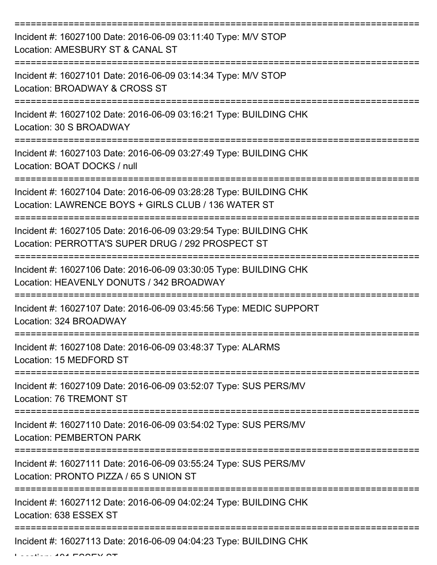| Incident #: 16027100 Date: 2016-06-09 03:11:40 Type: M/V STOP<br>Location: AMESBURY ST & CANAL ST                                                             |
|---------------------------------------------------------------------------------------------------------------------------------------------------------------|
| Incident #: 16027101 Date: 2016-06-09 03:14:34 Type: M/V STOP<br>Location: BROADWAY & CROSS ST                                                                |
| Incident #: 16027102 Date: 2016-06-09 03:16:21 Type: BUILDING CHK<br>Location: 30 S BROADWAY                                                                  |
| Incident #: 16027103 Date: 2016-06-09 03:27:49 Type: BUILDING CHK<br>Location: BOAT DOCKS / null                                                              |
| Incident #: 16027104 Date: 2016-06-09 03:28:28 Type: BUILDING CHK<br>Location: LAWRENCE BOYS + GIRLS CLUB / 136 WATER ST<br>================================= |
| Incident #: 16027105 Date: 2016-06-09 03:29:54 Type: BUILDING CHK<br>Location: PERROTTA'S SUPER DRUG / 292 PROSPECT ST                                        |
| Incident #: 16027106 Date: 2016-06-09 03:30:05 Type: BUILDING CHK<br>Location: HEAVENLY DONUTS / 342 BROADWAY                                                 |
| Incident #: 16027107 Date: 2016-06-09 03:45:56 Type: MEDIC SUPPORT<br>Location: 324 BROADWAY                                                                  |
| Incident #: 16027108 Date: 2016-06-09 03:48:37 Type: ALARMS<br>Location: 15 MEDFORD ST                                                                        |
| Incident #: 16027109 Date: 2016-06-09 03:52:07 Type: SUS PERS/MV<br>Location: 76 TREMONT ST                                                                   |
| Incident #: 16027110 Date: 2016-06-09 03:54:02 Type: SUS PERS/MV<br><b>Location: PEMBERTON PARK</b>                                                           |
| Incident #: 16027111 Date: 2016-06-09 03:55:24 Type: SUS PERS/MV<br>Location: PRONTO PIZZA / 65 S UNION ST                                                    |
| Incident #: 16027112 Date: 2016-06-09 04:02:24 Type: BUILDING CHK<br>Location: 638 ESSEX ST                                                                   |
| Incident #: 16027113 Date: 2016-06-09 04:04:23 Type: BUILDING CHK                                                                                             |

Location: 191 ESSEX ST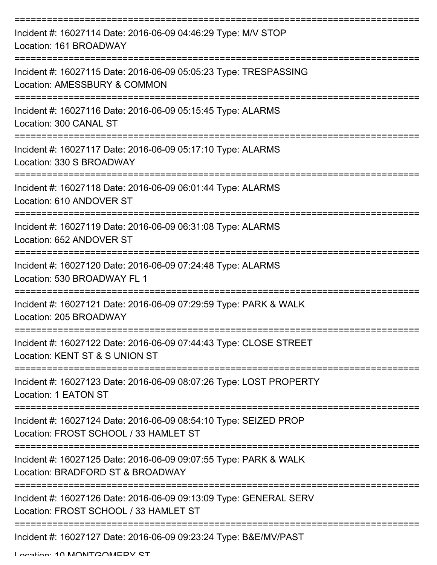| Incident #: 16027114 Date: 2016-06-09 04:46:29 Type: M/V STOP<br>Location: 161 BROADWAY                    |
|------------------------------------------------------------------------------------------------------------|
| Incident #: 16027115 Date: 2016-06-09 05:05:23 Type: TRESPASSING<br>Location: AMESSBURY & COMMON           |
| Incident #: 16027116 Date: 2016-06-09 05:15:45 Type: ALARMS<br>Location: 300 CANAL ST                      |
| Incident #: 16027117 Date: 2016-06-09 05:17:10 Type: ALARMS<br>Location: 330 S BROADWAY                    |
| Incident #: 16027118 Date: 2016-06-09 06:01:44 Type: ALARMS<br>Location: 610 ANDOVER ST                    |
| Incident #: 16027119 Date: 2016-06-09 06:31:08 Type: ALARMS<br>Location: 652 ANDOVER ST                    |
| Incident #: 16027120 Date: 2016-06-09 07:24:48 Type: ALARMS<br>Location: 530 BROADWAY FL 1                 |
| Incident #: 16027121 Date: 2016-06-09 07:29:59 Type: PARK & WALK<br>Location: 205 BROADWAY                 |
| Incident #: 16027122 Date: 2016-06-09 07:44:43 Type: CLOSE STREET<br>Location: KENT ST & S UNION ST        |
| Incident #: 16027123 Date: 2016-06-09 08:07:26 Type: LOST PROPERTY<br><b>Location: 1 EATON ST</b>          |
| Incident #: 16027124 Date: 2016-06-09 08:54:10 Type: SEIZED PROP<br>Location: FROST SCHOOL / 33 HAMLET ST  |
| Incident #: 16027125 Date: 2016-06-09 09:07:55 Type: PARK & WALK<br>Location: BRADFORD ST & BROADWAY       |
| Incident #: 16027126 Date: 2016-06-09 09:13:09 Type: GENERAL SERV<br>Location: FROST SCHOOL / 33 HAMLET ST |
| Incident #: 16027127 Date: 2016-06-09 09:23:24 Type: B&E/MV/PAST                                           |

Location: 10 MONITCOMERY ST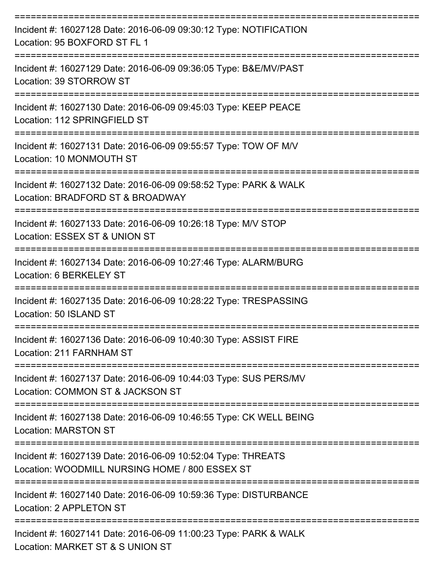| Incident #: 16027128 Date: 2016-06-09 09:30:12 Type: NOTIFICATION<br>Location: 95 BOXFORD ST FL 1              |
|----------------------------------------------------------------------------------------------------------------|
| Incident #: 16027129 Date: 2016-06-09 09:36:05 Type: B&E/MV/PAST<br>Location: 39 STORROW ST                    |
| Incident #: 16027130 Date: 2016-06-09 09:45:03 Type: KEEP PEACE<br>Location: 112 SPRINGFIELD ST                |
| Incident #: 16027131 Date: 2016-06-09 09:55:57 Type: TOW OF M/V<br>Location: 10 MONMOUTH ST                    |
| Incident #: 16027132 Date: 2016-06-09 09:58:52 Type: PARK & WALK<br>Location: BRADFORD ST & BROADWAY           |
| Incident #: 16027133 Date: 2016-06-09 10:26:18 Type: M/V STOP<br>Location: ESSEX ST & UNION ST                 |
| Incident #: 16027134 Date: 2016-06-09 10:27:46 Type: ALARM/BURG<br>Location: 6 BERKELEY ST                     |
| Incident #: 16027135 Date: 2016-06-09 10:28:22 Type: TRESPASSING<br>Location: 50 ISLAND ST                     |
| Incident #: 16027136 Date: 2016-06-09 10:40:30 Type: ASSIST FIRE<br>Location: 211 FARNHAM ST                   |
| Incident #: 16027137 Date: 2016-06-09 10:44:03 Type: SUS PERS/MV<br>Location: COMMON ST & JACKSON ST           |
| Incident #: 16027138 Date: 2016-06-09 10:46:55 Type: CK WELL BEING<br><b>Location: MARSTON ST</b>              |
| Incident #: 16027139 Date: 2016-06-09 10:52:04 Type: THREATS<br>Location: WOODMILL NURSING HOME / 800 ESSEX ST |
| Incident #: 16027140 Date: 2016-06-09 10:59:36 Type: DISTURBANCE<br>Location: 2 APPLETON ST                    |
| Incident #: 16027141 Date: 2016-06-09 11:00:23 Type: PARK & WALK<br>Location: MARKET ST & S UNION ST           |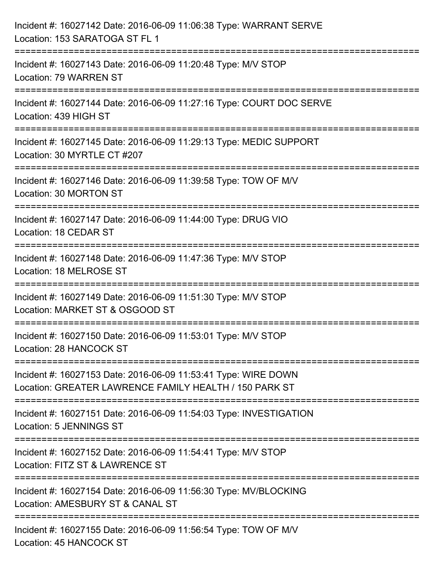| Incident #: 16027142 Date: 2016-06-09 11:06:38 Type: WARRANT SERVE<br>Location: 153 SARATOGA ST FL 1                                         |
|----------------------------------------------------------------------------------------------------------------------------------------------|
| ;==================================<br>Incident #: 16027143 Date: 2016-06-09 11:20:48 Type: M/V STOP<br>Location: 79 WARREN ST               |
| Incident #: 16027144 Date: 2016-06-09 11:27:16 Type: COURT DOC SERVE<br>Location: 439 HIGH ST<br>==================================          |
| Incident #: 16027145 Date: 2016-06-09 11:29:13 Type: MEDIC SUPPORT<br>Location: 30 MYRTLE CT #207<br>---------------------<br>-------------- |
| Incident #: 16027146 Date: 2016-06-09 11:39:58 Type: TOW OF M/V<br>Location: 30 MORTON ST                                                    |
| Incident #: 16027147 Date: 2016-06-09 11:44:00 Type: DRUG VIO<br>Location: 18 CEDAR ST                                                       |
| :====================================<br>Incident #: 16027148 Date: 2016-06-09 11:47:36 Type: M/V STOP<br>Location: 18 MELROSE ST            |
| Incident #: 16027149 Date: 2016-06-09 11:51:30 Type: M/V STOP<br>Location: MARKET ST & OSGOOD ST                                             |
| Incident #: 16027150 Date: 2016-06-09 11:53:01 Type: M/V STOP<br>Location: 28 HANCOCK ST                                                     |
| Incident #: 16027153 Date: 2016-06-09 11:53:41 Type: WIRE DOWN<br>Location: GREATER LAWRENCE FAMILY HEALTH / 150 PARK ST                     |
| Incident #: 16027151 Date: 2016-06-09 11:54:03 Type: INVESTIGATION<br>Location: 5 JENNINGS ST                                                |
| Incident #: 16027152 Date: 2016-06-09 11:54:41 Type: M/V STOP<br>Location: FITZ ST & LAWRENCE ST                                             |
| Incident #: 16027154 Date: 2016-06-09 11:56:30 Type: MV/BLOCKING<br>Location: AMESBURY ST & CANAL ST                                         |
| Incident #: 16027155 Date: 2016-06-09 11:56:54 Type: TOW OF M/V<br>Location: 45 HANCOCK ST                                                   |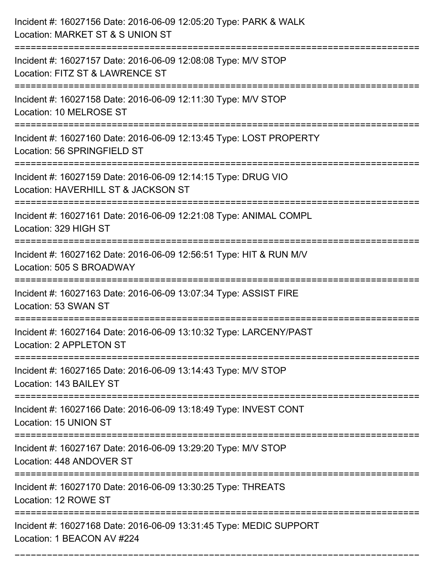| Incident #: 16027156 Date: 2016-06-09 12:05:20 Type: PARK & WALK<br>Location: MARKET ST & S UNION ST                                                 |
|------------------------------------------------------------------------------------------------------------------------------------------------------|
| Incident #: 16027157 Date: 2016-06-09 12:08:08 Type: M/V STOP<br>Location: FITZ ST & LAWRENCE ST                                                     |
| Incident #: 16027158 Date: 2016-06-09 12:11:30 Type: M/V STOP<br>Location: 10 MELROSE ST                                                             |
| Incident #: 16027160 Date: 2016-06-09 12:13:45 Type: LOST PROPERTY<br>Location: 56 SPRINGFIELD ST                                                    |
| Incident #: 16027159 Date: 2016-06-09 12:14:15 Type: DRUG VIO<br>Location: HAVERHILL ST & JACKSON ST                                                 |
| Incident #: 16027161 Date: 2016-06-09 12:21:08 Type: ANIMAL COMPL<br>Location: 329 HIGH ST                                                           |
| Incident #: 16027162 Date: 2016-06-09 12:56:51 Type: HIT & RUN M/V<br>Location: 505 S BROADWAY                                                       |
| Incident #: 16027163 Date: 2016-06-09 13:07:34 Type: ASSIST FIRE<br>Location: 53 SWAN ST                                                             |
| Incident #: 16027164 Date: 2016-06-09 13:10:32 Type: LARCENY/PAST<br>Location: 2 APPLETON ST                                                         |
| Incident #: 16027165 Date: 2016-06-09 13:14:43 Type: M/V STOP<br>Location: 143 BAILEY ST                                                             |
| Incident #: 16027166 Date: 2016-06-09 13:18:49 Type: INVEST CONT<br>Location: 15 UNION ST                                                            |
| Incident #: 16027167 Date: 2016-06-09 13:29:20 Type: M/V STOP<br>Location: 448 ANDOVER ST                                                            |
| ----------------------------<br>Incident #: 16027170 Date: 2016-06-09 13:30:25 Type: THREATS<br>Location: 12 ROWE ST<br>---------------------------- |
| Incident #: 16027168 Date: 2016-06-09 13:31:45 Type: MEDIC SUPPORT<br>Location: 1 BEACON AV #224                                                     |

===========================================================================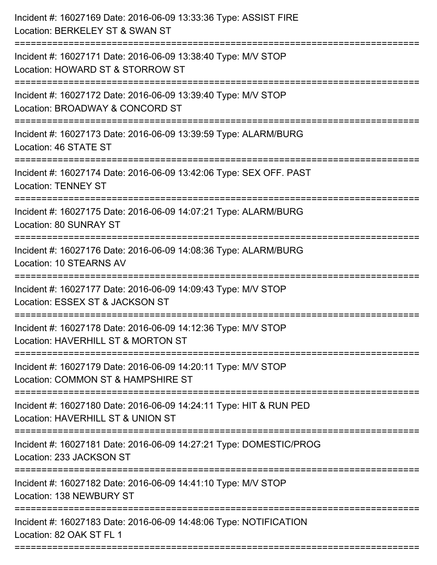| Incident #: 16027169 Date: 2016-06-09 13:33:36 Type: ASSIST FIRE<br>Location: BERKELEY ST & SWAN ST                                |
|------------------------------------------------------------------------------------------------------------------------------------|
| Incident #: 16027171 Date: 2016-06-09 13:38:40 Type: M/V STOP<br>Location: HOWARD ST & STORROW ST                                  |
| Incident #: 16027172 Date: 2016-06-09 13:39:40 Type: M/V STOP<br>Location: BROADWAY & CONCORD ST<br>:============================= |
| Incident #: 16027173 Date: 2016-06-09 13:39:59 Type: ALARM/BURG<br>Location: 46 STATE ST                                           |
| Incident #: 16027174 Date: 2016-06-09 13:42:06 Type: SEX OFF. PAST<br><b>Location: TENNEY ST</b>                                   |
| Incident #: 16027175 Date: 2016-06-09 14:07:21 Type: ALARM/BURG<br>Location: 80 SUNRAY ST                                          |
| Incident #: 16027176 Date: 2016-06-09 14:08:36 Type: ALARM/BURG<br>Location: 10 STEARNS AV                                         |
| Incident #: 16027177 Date: 2016-06-09 14:09:43 Type: M/V STOP<br>Location: ESSEX ST & JACKSON ST                                   |
| Incident #: 16027178 Date: 2016-06-09 14:12:36 Type: M/V STOP<br>Location: HAVERHILL ST & MORTON ST                                |
| Incident #: 16027179 Date: 2016-06-09 14:20:11 Type: M/V STOP<br>Location: COMMON ST & HAMPSHIRE ST                                |
| Incident #: 16027180 Date: 2016-06-09 14:24:11 Type: HIT & RUN PED<br>Location: HAVERHILL ST & UNION ST                            |
| Incident #: 16027181 Date: 2016-06-09 14:27:21 Type: DOMESTIC/PROG<br>Location: 233 JACKSON ST                                     |
| Incident #: 16027182 Date: 2016-06-09 14:41:10 Type: M/V STOP<br>Location: 138 NEWBURY ST                                          |
| Incident #: 16027183 Date: 2016-06-09 14:48:06 Type: NOTIFICATION<br>Location: 82 OAK ST FL 1                                      |
|                                                                                                                                    |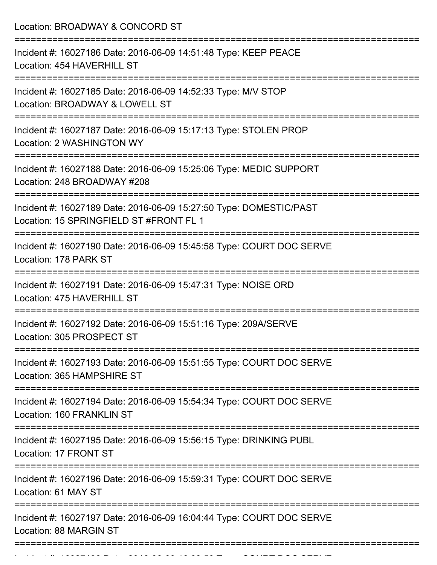Incident #: 16027198 Date: 2016 06 09 16:08:50 Type: COURT DOC SERVE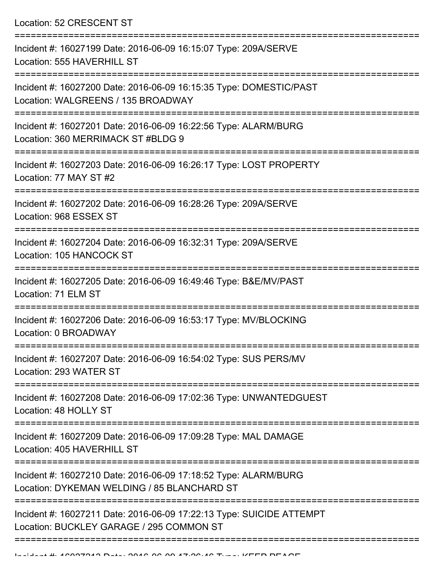Location: 52 CRESCENT ST

| Incident #: 16027199 Date: 2016-06-09 16:15:07 Type: 209A/SERVE<br>Location: 555 HAVERHILL ST                    |
|------------------------------------------------------------------------------------------------------------------|
| Incident #: 16027200 Date: 2016-06-09 16:15:35 Type: DOMESTIC/PAST<br>Location: WALGREENS / 135 BROADWAY         |
| Incident #: 16027201 Date: 2016-06-09 16:22:56 Type: ALARM/BURG<br>Location: 360 MERRIMACK ST #BLDG 9            |
| Incident #: 16027203 Date: 2016-06-09 16:26:17 Type: LOST PROPERTY<br>Location: 77 MAY ST #2                     |
| Incident #: 16027202 Date: 2016-06-09 16:28:26 Type: 209A/SERVE<br>Location: 968 ESSEX ST                        |
| Incident #: 16027204 Date: 2016-06-09 16:32:31 Type: 209A/SERVE<br>Location: 105 HANCOCK ST                      |
| Incident #: 16027205 Date: 2016-06-09 16:49:46 Type: B&E/MV/PAST<br>Location: 71 ELM ST                          |
| Incident #: 16027206 Date: 2016-06-09 16:53:17 Type: MV/BLOCKING<br>Location: 0 BROADWAY                         |
| Incident #: 16027207 Date: 2016-06-09 16:54:02 Type: SUS PERS/MV<br>Location: 293 WATER ST                       |
| Incident #: 16027208 Date: 2016-06-09 17:02:36 Type: UNWANTEDGUEST<br>Location: 48 HOLLY ST                      |
| Incident #: 16027209 Date: 2016-06-09 17:09:28 Type: MAL DAMAGE<br>Location: 405 HAVERHILL ST                    |
| Incident #: 16027210 Date: 2016-06-09 17:18:52 Type: ALARM/BURG<br>Location: DYKEMAN WELDING / 85 BLANCHARD ST   |
| Incident #: 16027211 Date: 2016-06-09 17:22:13 Type: SUICIDE ATTEMPT<br>Location: BUCKLEY GARAGE / 295 COMMON ST |
|                                                                                                                  |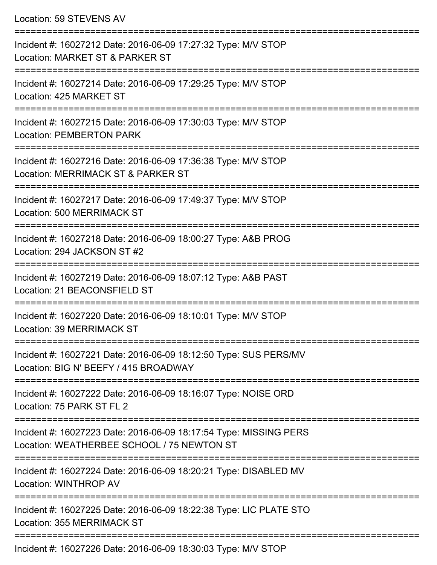|  | Location: 59 STEVENS AV |  |
|--|-------------------------|--|
|--|-------------------------|--|

| Incident #: 16027212 Date: 2016-06-09 17:27:32 Type: M/V STOP<br>Location: MARKET ST & PARKER ST                |
|-----------------------------------------------------------------------------------------------------------------|
| Incident #: 16027214 Date: 2016-06-09 17:29:25 Type: M/V STOP<br>Location: 425 MARKET ST                        |
| Incident #: 16027215 Date: 2016-06-09 17:30:03 Type: M/V STOP<br><b>Location: PEMBERTON PARK</b>                |
| Incident #: 16027216 Date: 2016-06-09 17:36:38 Type: M/V STOP<br>Location: MERRIMACK ST & PARKER ST             |
| Incident #: 16027217 Date: 2016-06-09 17:49:37 Type: M/V STOP<br>Location: 500 MERRIMACK ST                     |
| Incident #: 16027218 Date: 2016-06-09 18:00:27 Type: A&B PROG<br>Location: 294 JACKSON ST #2                    |
| Incident #: 16027219 Date: 2016-06-09 18:07:12 Type: A&B PAST<br>Location: 21 BEACONSFIELD ST                   |
| Incident #: 16027220 Date: 2016-06-09 18:10:01 Type: M/V STOP<br>Location: 39 MERRIMACK ST                      |
| Incident #: 16027221 Date: 2016-06-09 18:12:50 Type: SUS PERS/MV<br>Location: BIG N' BEEFY / 415 BROADWAY       |
| Incident #: 16027222 Date: 2016-06-09 18:16:07 Type: NOISE ORD<br>Location: 75 PARK ST FL 2                     |
| Incident #: 16027223 Date: 2016-06-09 18:17:54 Type: MISSING PERS<br>Location: WEATHERBEE SCHOOL / 75 NEWTON ST |
| Incident #: 16027224 Date: 2016-06-09 18:20:21 Type: DISABLED MV<br>Location: WINTHROP AV                       |
| Incident #: 16027225 Date: 2016-06-09 18:22:38 Type: LIC PLATE STO<br><b>Location: 355 MERRIMACK ST</b>         |
| $I_{\text{no}}$ $\sim$ 120077996 Dete: 2016 06:00:10:20:02 Tupe: $M\Lambda$ / CTOD                              |

Incident #: 16027226 Date: 2016-06-09 18:30:03 Type: M/V STOP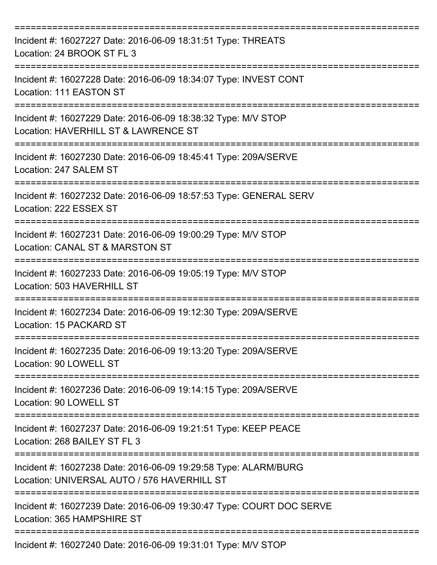| Incident #: 16027227 Date: 2016-06-09 18:31:51 Type: THREATS<br>Location: 24 BROOK ST FL 3                     |
|----------------------------------------------------------------------------------------------------------------|
| Incident #: 16027228 Date: 2016-06-09 18:34:07 Type: INVEST CONT<br>Location: 111 EASTON ST                    |
| Incident #: 16027229 Date: 2016-06-09 18:38:32 Type: M/V STOP<br>Location: HAVERHILL ST & LAWRENCE ST          |
| Incident #: 16027230 Date: 2016-06-09 18:45:41 Type: 209A/SERVE<br>Location: 247 SALEM ST                      |
| Incident #: 16027232 Date: 2016-06-09 18:57:53 Type: GENERAL SERV<br>Location: 222 ESSEX ST                    |
| Incident #: 16027231 Date: 2016-06-09 19:00:29 Type: M/V STOP<br>Location: CANAL ST & MARSTON ST               |
| Incident #: 16027233 Date: 2016-06-09 19:05:19 Type: M/V STOP<br>Location: 503 HAVERHILL ST                    |
| Incident #: 16027234 Date: 2016-06-09 19:12:30 Type: 209A/SERVE<br>Location: 15 PACKARD ST                     |
| Incident #: 16027235 Date: 2016-06-09 19:13:20 Type: 209A/SERVE<br>Location: 90 LOWELL ST                      |
| Incident #: 16027236 Date: 2016-06-09 19:14:15 Type: 209A/SERVE<br>Location: 90 LOWELL ST                      |
| Incident #: 16027237 Date: 2016-06-09 19:21:51 Type: KEEP PEACE<br>Location: 268 BAILEY ST FL 3                |
| Incident #: 16027238 Date: 2016-06-09 19:29:58 Type: ALARM/BURG<br>Location: UNIVERSAL AUTO / 576 HAVERHILL ST |
| Incident #: 16027239 Date: 2016-06-09 19:30:47 Type: COURT DOC SERVE<br>Location: 365 HAMPSHIRE ST             |
| Incident #: 16027240 Date: 2016-06-09 19:31:01 Type: M/V STOP                                                  |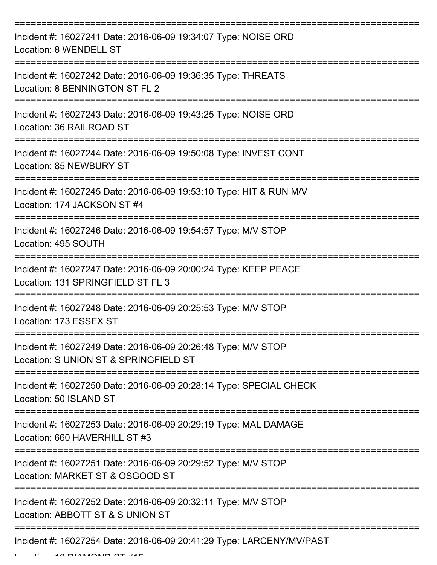| Incident #: 16027241 Date: 2016-06-09 19:34:07 Type: NOISE ORD<br>Location: 8 WENDELL ST               |
|--------------------------------------------------------------------------------------------------------|
| Incident #: 16027242 Date: 2016-06-09 19:36:35 Type: THREATS<br>Location: 8 BENNINGTON ST FL 2         |
| Incident #: 16027243 Date: 2016-06-09 19:43:25 Type: NOISE ORD<br>Location: 36 RAILROAD ST             |
| Incident #: 16027244 Date: 2016-06-09 19:50:08 Type: INVEST CONT<br>Location: 85 NEWBURY ST            |
| Incident #: 16027245 Date: 2016-06-09 19:53:10 Type: HIT & RUN M/V<br>Location: 174 JACKSON ST #4      |
| Incident #: 16027246 Date: 2016-06-09 19:54:57 Type: M/V STOP<br>Location: 495 SOUTH                   |
| Incident #: 16027247 Date: 2016-06-09 20:00:24 Type: KEEP PEACE<br>Location: 131 SPRINGFIELD ST FL 3   |
| Incident #: 16027248 Date: 2016-06-09 20:25:53 Type: M/V STOP<br>Location: 173 ESSEX ST                |
| Incident #: 16027249 Date: 2016-06-09 20:26:48 Type: M/V STOP<br>Location: S UNION ST & SPRINGFIELD ST |
| Incident #: 16027250 Date: 2016-06-09 20:28:14 Type: SPECIAL CHECK<br>Location: 50 ISLAND ST           |
| Incident #: 16027253 Date: 2016-06-09 20:29:19 Type: MAL DAMAGE<br>Location: 660 HAVERHILL ST #3       |
| Incident #: 16027251 Date: 2016-06-09 20:29:52 Type: M/V STOP<br>Location: MARKET ST & OSGOOD ST       |
| Incident #: 16027252 Date: 2016-06-09 20:32:11 Type: M/V STOP<br>Location: ABBOTT ST & S UNION ST      |
| Incident #: 16027254 Date: 2016-06-09 20:41:29 Type: LARCENY/MV/PAST                                   |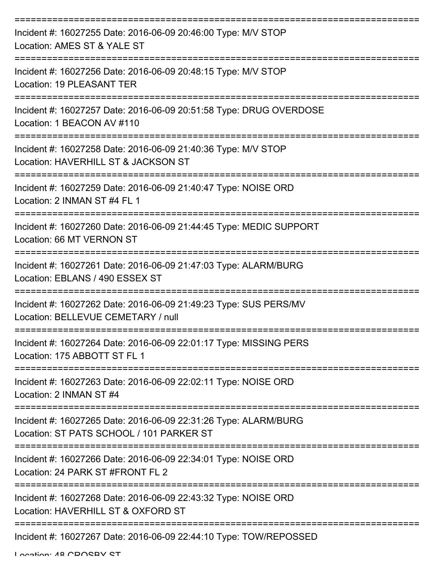| Incident #: 16027255 Date: 2016-06-09 20:46:00 Type: M/V STOP<br>Location: AMES ST & YALE ST                |
|-------------------------------------------------------------------------------------------------------------|
| Incident #: 16027256 Date: 2016-06-09 20:48:15 Type: M/V STOP<br>Location: 19 PLEASANT TER                  |
| Incident #: 16027257 Date: 2016-06-09 20:51:58 Type: DRUG OVERDOSE<br>Location: 1 BEACON AV #110            |
| Incident #: 16027258 Date: 2016-06-09 21:40:36 Type: M/V STOP<br>Location: HAVERHILL ST & JACKSON ST        |
| Incident #: 16027259 Date: 2016-06-09 21:40:47 Type: NOISE ORD<br>Location: 2 INMAN ST #4 FL 1              |
| Incident #: 16027260 Date: 2016-06-09 21:44:45 Type: MEDIC SUPPORT<br>Location: 66 MT VERNON ST             |
| Incident #: 16027261 Date: 2016-06-09 21:47:03 Type: ALARM/BURG<br>Location: EBLANS / 490 ESSEX ST          |
| Incident #: 16027262 Date: 2016-06-09 21:49:23 Type: SUS PERS/MV<br>Location: BELLEVUE CEMETARY / null      |
| Incident #: 16027264 Date: 2016-06-09 22:01:17 Type: MISSING PERS<br>Location: 175 ABBOTT ST FL 1           |
| Incident #: 16027263 Date: 2016-06-09 22:02:11 Type: NOISE ORD<br>Location: 2 INMAN ST #4                   |
| Incident #: 16027265 Date: 2016-06-09 22:31:26 Type: ALARM/BURG<br>Location: ST PATS SCHOOL / 101 PARKER ST |
| Incident #: 16027266 Date: 2016-06-09 22:34:01 Type: NOISE ORD<br>Location: 24 PARK ST #FRONT FL 2          |
| Incident #: 16027268 Date: 2016-06-09 22:43:32 Type: NOISE ORD<br>Location: HAVERHILL ST & OXFORD ST        |
| Incident #: 16027267 Date: 2016-06-09 22:44:10 Type: TOW/REPOSSED                                           |